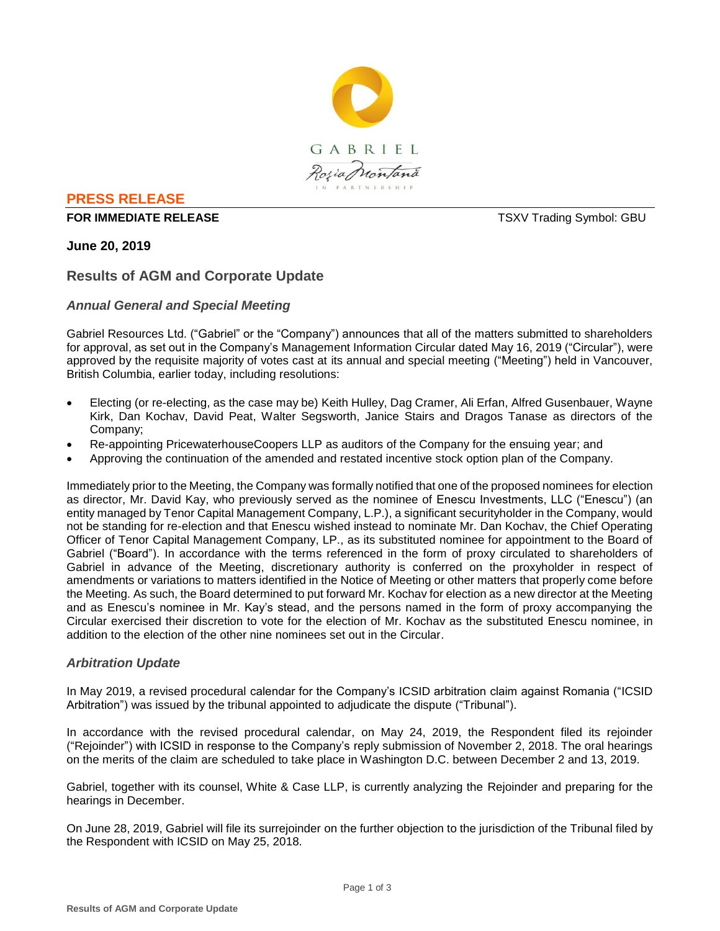

### **PRESS RELEASE**

#### **FOR IMMEDIATE RELEASE THE SECOND SYMBOL: GBU TSXV Trading Symbol: GBU**

# **June 20, 2019**

# **Results of AGM and Corporate Update**

# *Annual General and Special Meeting*

Gabriel Resources Ltd. ("Gabriel" or the "Company") announces that all of the matters submitted to shareholders for approval, as set out in the Company's Management Information Circular dated May 16, 2019 ("Circular"), were approved by the requisite majority of votes cast at its annual and special meeting ("Meeting") held in Vancouver, British Columbia, earlier today, including resolutions:

- Electing (or re-electing, as the case may be) Keith Hulley, Dag Cramer, Ali Erfan, Alfred Gusenbauer, Wayne Kirk, Dan Kochav, David Peat, Walter Segsworth, Janice Stairs and Dragos Tanase as directors of the Company;
- Re-appointing PricewaterhouseCoopers LLP as auditors of the Company for the ensuing year; and
- Approving the continuation of the amended and restated incentive stock option plan of the Company.

Immediately prior to the Meeting, the Company was formally notified that one of the proposed nominees for election as director, Mr. David Kay, who previously served as the nominee of Enescu Investments, LLC ("Enescu") (an entity managed by Tenor Capital Management Company, L.P.), a significant securityholder in the Company, would not be standing for re-election and that Enescu wished instead to nominate Mr. Dan Kochav, the Chief Operating Officer of Tenor Capital Management Company, LP., as its substituted nominee for appointment to the Board of Gabriel ("Board"). In accordance with the terms referenced in the form of proxy circulated to shareholders of Gabriel in advance of the Meeting, discretionary authority is conferred on the proxyholder in respect of amendments or variations to matters identified in the Notice of Meeting or other matters that properly come before the Meeting. As such, the Board determined to put forward Mr. Kochav for election as a new director at the Meeting and as Enescu's nominee in Mr. Kay's stead, and the persons named in the form of proxy accompanying the Circular exercised their discretion to vote for the election of Mr. Kochav as the substituted Enescu nominee, in addition to the election of the other nine nominees set out in the Circular.

### *Arbitration Update*

In May 2019, a revised procedural calendar for the Company's ICSID arbitration claim against Romania ("ICSID Arbitration") was issued by the tribunal appointed to adjudicate the dispute ("Tribunal").

In accordance with the revised procedural calendar, on May 24, 2019, the Respondent filed its rejoinder ("Rejoinder") with ICSID in response to the Company's reply submission of November 2, 2018. The oral hearings on the merits of the claim are scheduled to take place in Washington D.C. between December 2 and 13, 2019.

Gabriel, together with its counsel, White & Case LLP, is currently analyzing the Rejoinder and preparing for the hearings in December.

On June 28, 2019, Gabriel will file its surrejoinder on the further objection to the jurisdiction of the Tribunal filed by the Respondent with ICSID on May 25, 2018.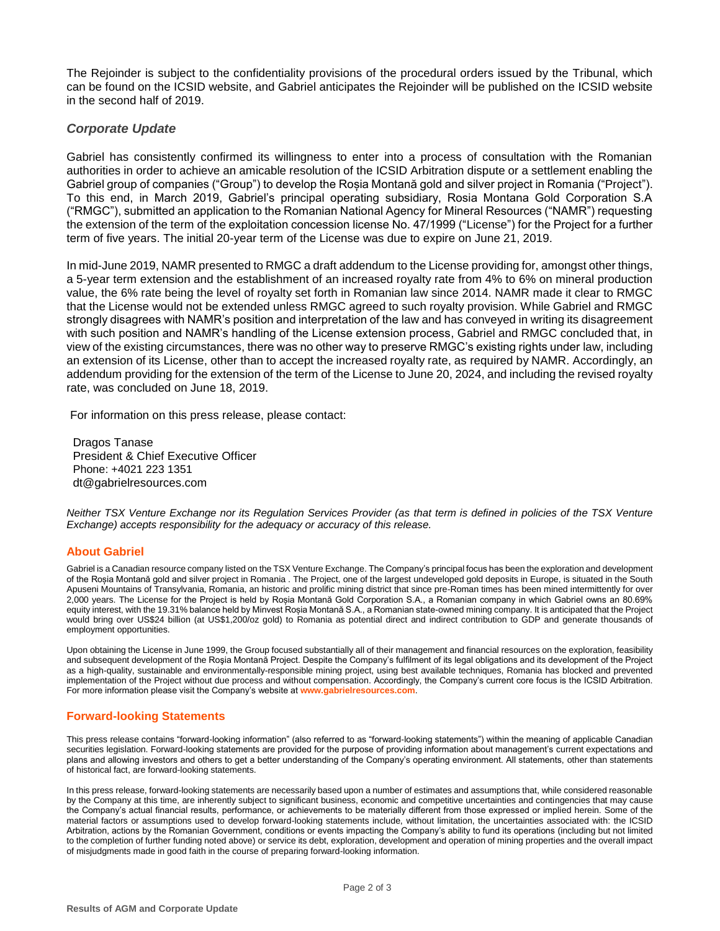The Rejoinder is subject to the confidentiality provisions of the procedural orders issued by the Tribunal, which can be found on the ICSID website, and Gabriel anticipates the Rejoinder will be published on the ICSID website in the second half of 2019.

#### *Corporate Update*

Gabriel has consistently confirmed its willingness to enter into a process of consultation with the Romanian authorities in order to achieve an amicable resolution of the ICSID Arbitration dispute or a settlement enabling the Gabriel group of companies ("Group") to develop the Roșia Montană gold and silver project in Romania ("Project"). To this end, in March 2019, Gabriel's principal operating subsidiary, Rosia Montana Gold Corporation S.A ("RMGC"), submitted an application to the Romanian National Agency for Mineral Resources ("NAMR") requesting the extension of the term of the exploitation concession license No. 47/1999 ("License") for the Project for a further term of five years. The initial 20-year term of the License was due to expire on June 21, 2019.

In mid-June 2019, NAMR presented to RMGC a draft addendum to the License providing for, amongst other things, a 5-year term extension and the establishment of an increased royalty rate from 4% to 6% on mineral production value, the 6% rate being the level of royalty set forth in Romanian law since 2014. NAMR made it clear to RMGC that the License would not be extended unless RMGC agreed to such royalty provision. While Gabriel and RMGC strongly disagrees with NAMR's position and interpretation of the law and has conveyed in writing its disagreement with such position and NAMR's handling of the License extension process, Gabriel and RMGC concluded that, in view of the existing circumstances, there was no other way to preserve RMGC's existing rights under law, including an extension of its License, other than to accept the increased royalty rate, as required by NAMR. Accordingly, an addendum providing for the extension of the term of the License to June 20, 2024, and including the revised royalty rate, was concluded on June 18, 2019.

For information on this press release, please contact:

Dragos Tanase President & Chief Executive Officer Phone: +4021 223 1351 dt@gabrielresources.com

*Neither TSX Venture Exchange nor its Regulation Services Provider (as that term is defined in policies of the TSX Venture Exchange) accepts responsibility for the adequacy or accuracy of this release.*

#### **About Gabriel**

Gabriel is a Canadian resource company listed on the TSX Venture Exchange. The Company's principal focus has been the exploration and development of the Roșia Montană gold and silver project in Romania . The Project, one of the largest undeveloped gold deposits in Europe, is situated in the South Apuseni Mountains of Transylvania, Romania, an historic and prolific mining district that since pre-Roman times has been mined intermittently for over 2,000 years. The License for the Project is held by Roșia Montană Gold Corporation S.A., a Romanian company in which Gabriel owns an 80.69% equity interest, with the 19.31% balance held by Minvest Roșia Montană S.A., a Romanian state-owned mining company. It is anticipated that the Project would bring over US\$24 billion (at US\$1,200/oz gold) to Romania as potential direct and indirect contribution to GDP and generate thousands of employment opportunities.

Upon obtaining the License in June 1999, the Group focused substantially all of their management and financial resources on the exploration, feasibility and subsequent development of the Roşia Montană Project. Despite the Company's fulfilment of its legal obligations and its development of the Project as a high-quality, sustainable and environmentally-responsible mining project, using best available techniques, Romania has blocked and prevented implementation of the Project without due process and without compensation. Accordingly, the Company's current core focus is the ICSID Arbitration. For more information please visit the Company's website at **www.gabrielresources.com**.

#### **Forward-looking Statements**

This press release contains "forward-looking information" (also referred to as "forward-looking statements") within the meaning of applicable Canadian securities legislation. Forward-looking statements are provided for the purpose of providing information about management's current expectations and plans and allowing investors and others to get a better understanding of the Company's operating environment. All statements, other than statements of historical fact, are forward-looking statements.

In this press release, forward-looking statements are necessarily based upon a number of estimates and assumptions that, while considered reasonable by the Company at this time, are inherently subject to significant business, economic and competitive uncertainties and contingencies that may cause the Company's actual financial results, performance, or achievements to be materially different from those expressed or implied herein. Some of the material factors or assumptions used to develop forward-looking statements include, without limitation, the uncertainties associated with: the ICSID Arbitration, actions by the Romanian Government, conditions or events impacting the Company's ability to fund its operations (including but not limited to the completion of further funding noted above) or service its debt, exploration, development and operation of mining properties and the overall impact of misjudgments made in good faith in the course of preparing forward-looking information.